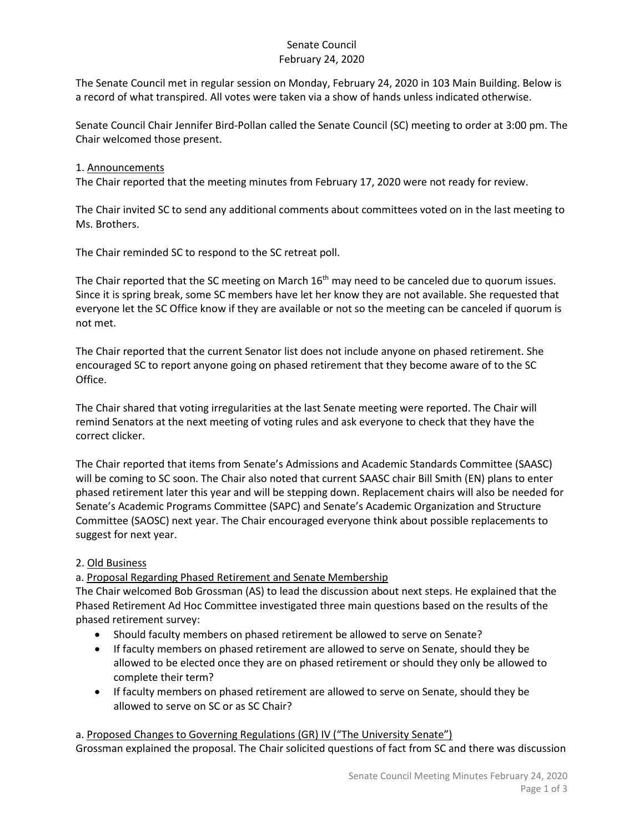#### Senate Council February 24, 2020

The Senate Council met in regular session on Monday, February 24, 2020 in 103 Main Building. Below is a record of what transpired. All votes were taken via a show of hands unless indicated otherwise.

Senate Council Chair Jennifer Bird-Pollan called the Senate Council (SC) meeting to order at 3:00 pm. The Chair welcomed those present.

#### 1. Announcements

The Chair reported that the meeting minutes from February 17, 2020 were not ready for review.

The Chair invited SC to send any additional comments about committees voted on in the last meeting to Ms. Brothers.

The Chair reminded SC to respond to the SC retreat poll.

The Chair reported that the SC meeting on March  $16<sup>th</sup>$  may need to be canceled due to quorum issues. Since it is spring break, some SC members have let her know they are not available. She requested that everyone let the SC Office know if they are available or not so the meeting can be canceled if quorum is not met.

The Chair reported that the current Senator list does not include anyone on phased retirement. She encouraged SC to report anyone going on phased retirement that they become aware of to the SC Office.

The Chair shared that voting irregularities at the last Senate meeting were reported. The Chair will remind Senators at the next meeting of voting rules and ask everyone to check that they have the correct clicker.

The Chair reported that items from Senate's Admissions and Academic Standards Committee (SAASC) will be coming to SC soon. The Chair also noted that current SAASC chair Bill Smith (EN) plans to enter phased retirement later this year and will be stepping down. Replacement chairs will also be needed for Senate's Academic Programs Committee (SAPC) and Senate's Academic Organization and Structure Committee (SAOSC) next year. The Chair encouraged everyone think about possible replacements to suggest for next year.

### 2. Old Business

### a. Proposal Regarding Phased Retirement and Senate Membership

The Chair welcomed Bob Grossman (AS) to lead the discussion about next steps. He explained that the Phased Retirement Ad Hoc Committee investigated three main questions based on the results of the phased retirement survey:

- Should faculty members on phased retirement be allowed to serve on Senate?
- If faculty members on phased retirement are allowed to serve on Senate, should they be allowed to be elected once they are on phased retirement or should they only be allowed to complete their term?
- If faculty members on phased retirement are allowed to serve on Senate, should they be allowed to serve on SC or as SC Chair?

a. Proposed Changes to Governing Regulations (GR) IV ("The University Senate") Grossman explained the proposal. The Chair solicited questions of fact from SC and there was discussion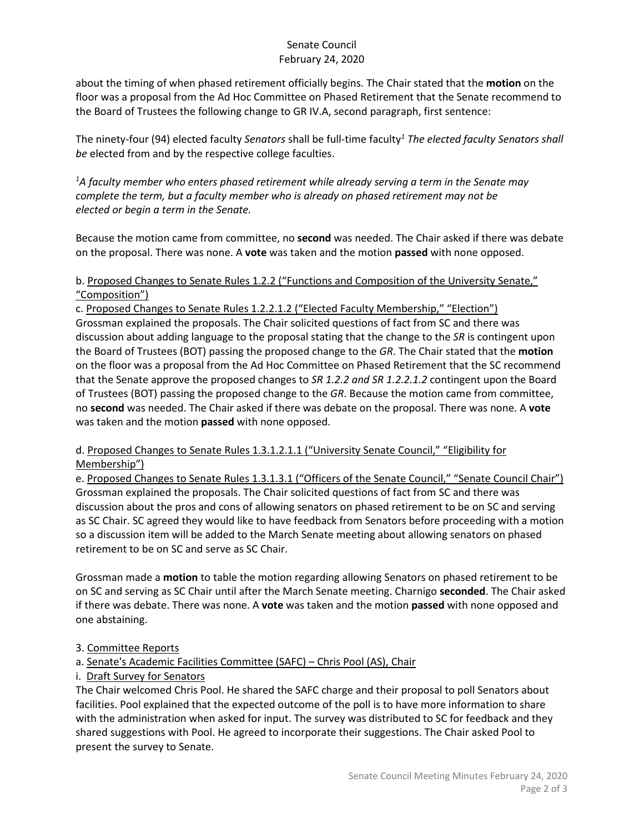#### Senate Council February 24, 2020

about the timing of when phased retirement officially begins. The Chair stated that the **motion** on the floor was a proposal from the Ad Hoc Committee on Phased Retirement that the Senate recommend to the Board of Trustees the following change to GR IV.A, second paragraph, first sentence:

The ninety-four (94) elected faculty *Senators* shall be full-time faculty*<sup>1</sup> The elected faculty Senators shall be* elected from and by the respective college faculties.

*1 A faculty member who enters phased retirement while already serving a term in the Senate may complete the term, but a faculty member who is already on phased retirement may not be elected or begin a term in the Senate.*

Because the motion came from committee, no **second** was needed. The Chair asked if there was debate on the proposal. There was none. A **vote** was taken and the motion **passed** with none opposed.

## b. Proposed Changes to Senate Rules 1.2.2 ("Functions and Composition of the University Senate," "Composition")

c. Proposed Changes to Senate Rules 1.2.2.1.2 ("Elected Faculty Membership," "Election") Grossman explained the proposals. The Chair solicited questions of fact from SC and there was discussion about adding language to the proposal stating that the change to the *SR* is contingent upon the Board of Trustees (BOT) passing the proposed change to the *GR*. The Chair stated that the **motion** on the floor was a proposal from the Ad Hoc Committee on Phased Retirement that the SC recommend that the Senate approve the proposed changes to *SR 1.2.2 and SR 1.2.2.1.2* contingent upon the Board of Trustees (BOT) passing the proposed change to the *GR*. Because the motion came from committee, no **second** was needed. The Chair asked if there was debate on the proposal. There was none. A **vote** was taken and the motion **passed** with none opposed.

### d. Proposed Changes to Senate Rules 1.3.1.2.1.1 ("University Senate Council," "Eligibility for Membership")

e. Proposed Changes to Senate Rules 1.3.1.3.1 ("Officers of the Senate Council," "Senate Council Chair") Grossman explained the proposals. The Chair solicited questions of fact from SC and there was discussion about the pros and cons of allowing senators on phased retirement to be on SC and serving as SC Chair. SC agreed they would like to have feedback from Senators before proceeding with a motion so a discussion item will be added to the March Senate meeting about allowing senators on phased retirement to be on SC and serve as SC Chair.

Grossman made a **motion** to table the motion regarding allowing Senators on phased retirement to be on SC and serving as SC Chair until after the March Senate meeting. Charnigo **seconded**. The Chair asked if there was debate. There was none. A **vote** was taken and the motion **passed** with none opposed and one abstaining.

# 3. Committee Reports

# a. Senate's Academic Facilities Committee (SAFC) – Chris Pool (AS), Chair

i. Draft Survey for Senators

The Chair welcomed Chris Pool. He shared the SAFC charge and their proposal to poll Senators about facilities. Pool explained that the expected outcome of the poll is to have more information to share with the administration when asked for input. The survey was distributed to SC for feedback and they shared suggestions with Pool. He agreed to incorporate their suggestions. The Chair asked Pool to present the survey to Senate.